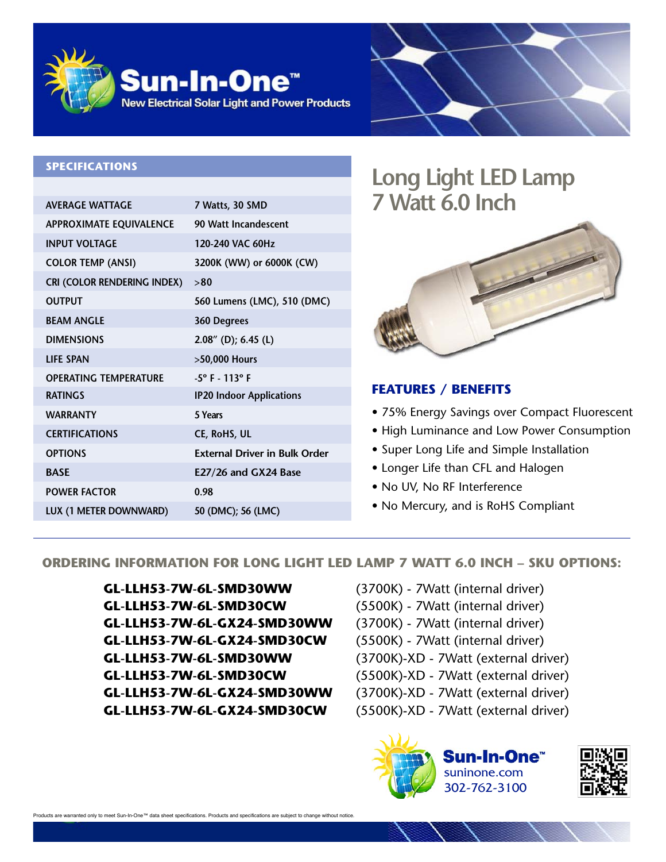



#### **SPECIFICATIONS**

| <b>AVERAGE WATTAGE</b>             | 7 Watts, 30 SMD                      |
|------------------------------------|--------------------------------------|
| <b>APPROXIMATE EQUIVALENCE</b>     | 90 Watt Incandescent                 |
| <b>INPUT VOLTAGE</b>               | 120-240 VAC 60Hz                     |
| <b>COLOR TEMP (ANSI)</b>           | 3200K (WW) or 6000K (CW)             |
| <b>CRI (COLOR RENDERING INDEX)</b> | >80                                  |
| <b>OUTPUT</b>                      | 560 Lumens (LMC), 510 (DMC)          |
| <b>BEAM ANGLE</b>                  | 360 Degrees                          |
| <b>DIMENSIONS</b>                  | $2.08''$ (D); 6.45 (L)               |
| <b>LIFE SPAN</b>                   | >50,000 Hours                        |
| <b>OPERATING TEMPERATURE</b>       | $-5^{\circ}$ F $-113^{\circ}$ F      |
| <b>RATINGS</b>                     | <b>IP20 Indoor Applications</b>      |
| <b>WARRANTY</b>                    | 5 Years                              |
| <b>CERTIFICATIONS</b>              | <b>CE, RoHS, UL</b>                  |
| <b>OPTIONS</b>                     | <b>External Driver in Bulk Order</b> |
| <b>BASE</b>                        | E27/26 and GX24 Base                 |
| <b>POWER FACTOR</b>                | 0.98                                 |
| LUX (1 METER DOWNWARD)             | 50 (DMC); 56 (LMC)                   |
|                                    |                                      |

# **Long Light LED Lamp 7 Watt 6.0 Inch**



## **FEATURES / BENEFITS**

- 75% Energy Savings over Compact Fluorescent
- High Luminance and Low Power Consumption
- Super Long Life and Simple Installation
- Longer Life than CFL and Halogen
- No UV, No RF Interference
- No Mercury, and is RoHS Compliant

### **ORDERING INFORMATION FOR LONG LIGHT LED LAMP 7 WATT 6.0 INCH – SKU OPTIONS:**

- **GL-LLH53-7W-6L-SMD30WW** (3700K) 7Watt (internal driver) **GL-LLH53-7W-6L-SMD30CW** (5500K) - 7Watt (internal driver) **GL-LLH53-7W-6L-GX24-SMD30WW** (3700K) - 7Watt (internal driver) **GL-LLH53-7W-6L-GX24-SMD30CW** (5500K) - 7Watt (internal driver) **GL-LLH53-7W-6L-SMD30WW** (3700K)-XD - 7Watt (external driver) **GL-LLH53-7W-6L-SMD30CW** (5500K)-XD - 7Watt (external driver) **GL-LLH53-7W-6L-GX24-SMD30WW** (3700K)-XD - 7Watt (external driver) **GL-LLH53-7W-6L-GX24-SMD30CW** (5500K)-XD - 7Watt (external driver)
- -